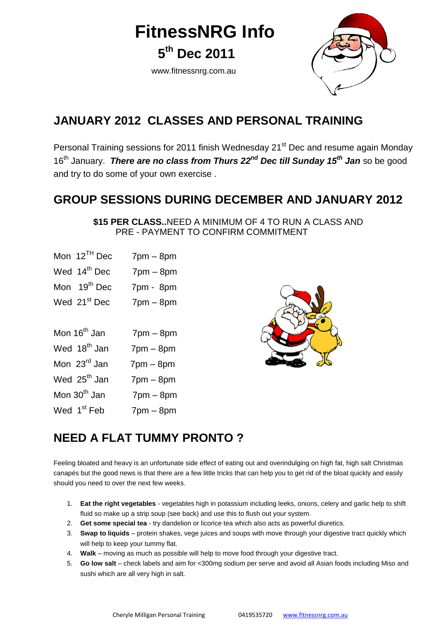**FitnessNRG Info**

**5 th Dec 2011**

www.fitnessnrg.com.au



### **JANUARY 2012 CLASSES AND PERSONAL TRAINING**

Personal Training sessions for 2011 finish Wednesday 21<sup>st</sup> Dec and resume again Monday 16th January. *There are no class from Thurs 22nd Dec till Sunday 15th Jan* so be good and try to do some of your own exercise .

### **GROUP SESSIONS DURING DECEMBER AND JANUARY 2012**

 **\$15 PER CLASS..**NEED A MINIMUM OF 4 TO RUN A CLASS AND PRE - PAYMENT TO CONFIRM COMMITMENT

| Mon $12^{TH}$ Dec        | $7pm - 8pm$    |  |
|--------------------------|----------------|--|
| Wed 14 <sup>th</sup> Dec | $7$ pm $-$ 8pm |  |
| Mon 19 <sup>th</sup> Dec | 7pm - 8pm      |  |
| Wed 21 <sup>st</sup> Dec | $7pm - 8pm$    |  |
|                          |                |  |
| Mon 16 <sup>th</sup> Jan | $7pm - 8pm$    |  |
| Wed 18 <sup>th</sup> Jan | $7pm - 8pm$    |  |
| Mon 23 <sup>rd</sup> Jan | $7pm - 8pm$    |  |
| Wed 25 <sup>th</sup> Jan | $7pm - 8pm$    |  |
| Mon 30 <sup>th</sup> Jan | $7pm - 8pm$    |  |
| Wed 1 <sup>st</sup> Feb  | $7pm - 8pm$    |  |



## **NEED A FLAT TUMMY PRONTO ?**

Feeling bloated and heavy is an unfortunate side effect of eating out and overindulging on high fat, high salt Christmas canapés but the good news is that there are a few little tricks that can help you to get rid of the bloat quickly and easily should you need to over the next few weeks.

- 1. **Eat the right vegetables** vegetables high in potassium including leeks, onions, celery and garlic help to shift fluid so make up a strip soup (see back) and use this to flush out your system.
- 2. **Get some special tea** try dandelion or licorice tea which also acts as powerful diuretics.
- 3. **Swap to liquids** protein shakes, vege juices and soups with move through your digestive tract quickly which will help to keep your tummy flat.
- 4. **Walk** moving as much as possible will help to move food through your digestive tract.
- 5. **Go low salt** check labels and aim for <300mg sodium per serve and avoid all Asian foods including Miso and sushi which are all very high in salt.